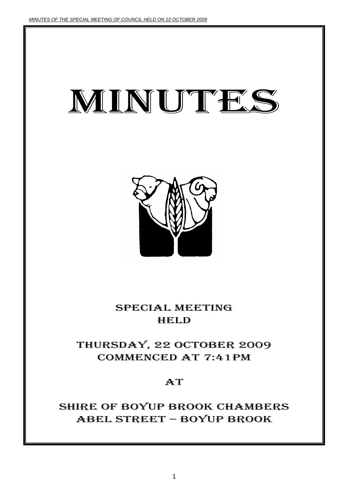# SPECIAL MEETING HELD

# THURSDAY, 22 OCTOBER 2009 COMMENCED AT 7:41PM

### AT

## SHIRE OF BOYUP BROOK CHAMBERS ABEL STREET – BOYUP BROOK

1



# MINUTES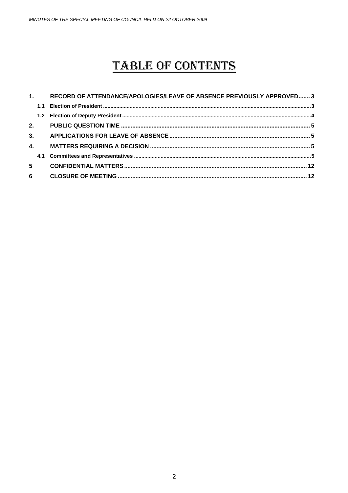# TABLE OF CONTENTS

|    | 1. | RECORD OF ATTENDANCE/APOLOGIES/LEAVE OF ABSENCE PREVIOUSLY APPROVED 3 |  |
|----|----|-----------------------------------------------------------------------|--|
|    |    |                                                                       |  |
|    |    |                                                                       |  |
|    |    |                                                                       |  |
|    |    |                                                                       |  |
| 4. |    |                                                                       |  |
|    |    |                                                                       |  |
|    |    |                                                                       |  |
|    |    |                                                                       |  |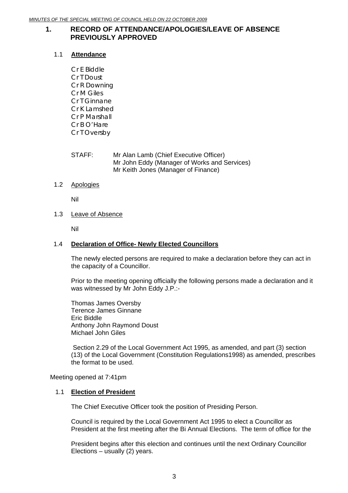#### <span id="page-2-0"></span>**1. RECORD OF ATTENDANCE/APOLOGIES/LEAVE OF ABSENCE PREVIOUSLY APPROVED**

#### 1.1 **Attendance**

Cr E Biddle Cr T Doust Cr R Downing Cr M Giles Cr T Ginnane Cr K Lamshed Cr P Marshall Cr B O'Hare Cr T Oversby

STAFF: Mr Alan Lamb (Chief Executive Officer) Mr John Eddy (Manager of Works and Services) Mr Keith Jones (Manager of Finance)

1.2 Apologies

Nil

1.3 Leave of Absence

Nil

#### 1.4 **Declaration of Office- Newly Elected Councillors**

The newly elected persons are required to make a declaration before they can act in the capacity of a Councillor.

Prior to the meeting opening officially the following persons made a declaration and it was witnessed by Mr John Eddy J.P.:-

Thomas James Oversby Terence James Ginnane Eric Biddle Anthony John Raymond Doust Michael John Giles

 Section 2.29 of the Local Government Act 1995, as amended, and part (3) section (13) of the Local Government (Constitution Regulations1998) as amended, prescribes the format to be used.

Meeting opened at 7:41pm

#### 1.1 **Election of President**

The Chief Executive Officer took the position of Presiding Person.

Council is required by the Local Government Act 1995 to elect a Councillor as President at the first meeting after the Bi Annual Elections. The term of office for the

President begins after this election and continues until the next Ordinary Councillor Elections – usually (2) years.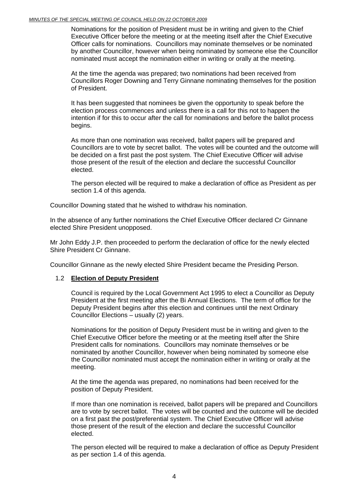#### <span id="page-3-0"></span>*MINUTES OF THE SPECIAL MEETING OF COUNCIL HELD ON 22 OCTOBER 2009*

Nominations for the position of President must be in writing and given to the Chief Executive Officer before the meeting or at the meeting itself after the Chief Executive Officer calls for nominations. Councillors may nominate themselves or be nominated by another Councillor, however when being nominated by someone else the Councillor nominated must accept the nomination either in writing or orally at the meeting.

At the time the agenda was prepared; two nominations had been received from Councillors Roger Downing and Terry Ginnane nominating themselves for the position of President.

It has been suggested that nominees be given the opportunity to speak before the election process commences and unless there is a call for this not to happen the intention if for this to occur after the call for nominations and before the ballot process begins.

As more than one nomination was received, ballot papers will be prepared and Councillors are to vote by secret ballot. The votes will be counted and the outcome will be decided on a first past the post system. The Chief Executive Officer will advise those present of the result of the election and declare the successful Councillor elected.

The person elected will be required to make a declaration of office as President as per section 1.4 of this agenda.

Councillor Downing stated that he wished to withdraw his nomination.

In the absence of any further nominations the Chief Executive Officer declared Cr Ginnane elected Shire President unopposed.

Mr John Eddy J.P. then proceeded to perform the declaration of office for the newly elected Shire President Cr Ginnane.

Councillor Ginnane as the newly elected Shire President became the Presiding Person.

#### 1.2 **Election of Deputy President**

Council is required by the Local Government Act 1995 to elect a Councillor as Deputy President at the first meeting after the Bi Annual Elections. The term of office for the Deputy President begins after this election and continues until the next Ordinary Councillor Elections – usually (2) years.

Nominations for the position of Deputy President must be in writing and given to the Chief Executive Officer before the meeting or at the meeting itself after the Shire President calls for nominations. Councillors may nominate themselves or be nominated by another Councillor, however when being nominated by someone else the Councillor nominated must accept the nomination either in writing or orally at the meeting.

At the time the agenda was prepared, no nominations had been received for the position of Deputy President.

If more than one nomination is received, ballot papers will be prepared and Councillors are to vote by secret ballot. The votes will be counted and the outcome will be decided on a first past the post/preferential system. The Chief Executive Officer will advise those present of the result of the election and declare the successful Councillor elected.

The person elected will be required to make a declaration of office as Deputy President as per section 1.4 of this agenda.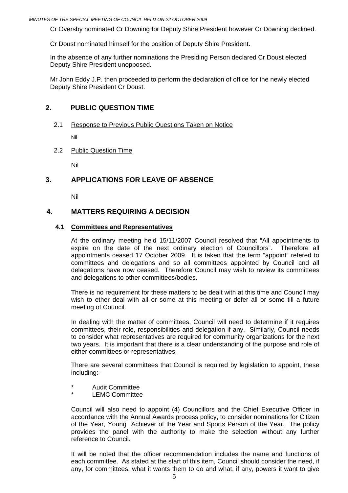<span id="page-4-0"></span>Cr Oversby nominated Cr Downing for Deputy Shire President however Cr Downing declined.

Cr Doust nominated himself for the position of Deputy Shire President.

In the absence of any further nominations the Presiding Person declared Cr Doust elected Deputy Shire President unopposed.

Mr John Eddy J.P. then proceeded to perform the declaration of office for the newly elected Deputy Shire President Cr Doust.

#### **2. PUBLIC QUESTION TIME**

#### 2.1 Response to Previous Public Questions Taken on Notice

Nil

2.2 Public Question Time

Nil

#### **3. APPLICATIONS FOR LEAVE OF ABSENCE**

Nil

#### **4. MATTERS REQUIRING A DECISION**

#### **4.1 Committees and Representatives**

At the ordinary meeting held 15/11/2007 Council resolved that "All appointments to expire on the date of the next ordinary election of Councillors". Therefore all appointments ceased 17 October 2009. It is taken that the term "appoint" refered to committees and delegations and so all committees appointed by Council and all delagations have now ceased. Therefore Council may wish to review its committees and delegations to other committees/bodies.

There is no requirement for these matters to be dealt with at this time and Council may wish to ether deal with all or some at this meeting or defer all or some till a future meeting of Council.

In dealing with the matter of committees, Council will need to determine if it requires committees, their role, responsibilities and delegation if any. Similarly, Council needs to consider what representatives are required for community organizations for the next two years. It is important that there is a clear understanding of the purpose and role of either committees or representatives.

There are several committees that Council is required by legislation to appoint, these including:-

- Audit Committee
- **LEMC Committee**

Council will also need to appoint (4) Councillors and the Chief Executive Officer in accordance with the Annual Awards process policy, to consider nominations for Citizen of the Year, Young Achiever of the Year and Sports Person of the Year. The policy provides the panel with the authority to make the selection without any further reference to Council.

It will be noted that the officer recommendation includes the name and functions of each committee. As stated at the start of this item, Council should consider the need, if any, for committees, what it wants them to do and what, if any, powers it want to give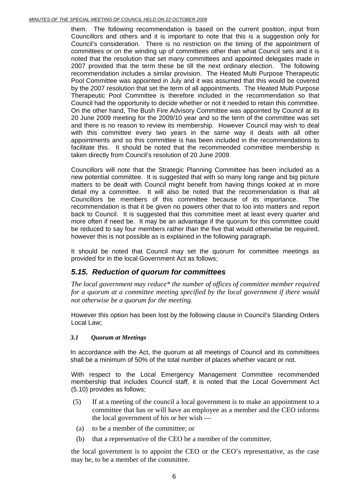#### *MINUTES OF THE SPECIAL MEETING OF COUNCIL HELD ON 22 OCTOBER 2009*

them. The following recommendation is based on the current position, input from Councillors and others and it is important to note that this is a suggestion only for Council's consideration. There is no restriction on the timing of the appointment of committees or on the winding up of committees other than what Council sets and it is noted that the resolution that set many committees and appointed delegates made in 2007 provided that the term these be till the next ordinary election. The following recommendation includes a similar provision. The Heated Multi Purpose Therapeutic Pool Committee was appointed in July and it was assumed that this would be covered by the 2007 resolution that set the term of all appointments. The Heated Multi Purpose Therapeutic Pool Committee is therefore included in the recommendation so that Council had the opportunity to decide whether or not it needed to retain this committee. On the other hand, The Bush Fire Advisory Committee was appointed by Council at its 20 June 2009 meeting for the 2009/10 year and so the term of the committee was set and there is no reason to review its membership. However Council may wish to deal with this committee every two years in the same way it deals with all other appointments and so this committee is has been included in the recommendations to facilitate this. It should be noted that the recommended committee membership is taken directly from Council's resolution of 20 June 2009.

Councillors will note that the Strategic Planning Committee has been included as a new potential committee. It is suggested that with so many long range and big picture matters to be dealt with Council might benefit from having things looked at in more detail my a committee. It will also be noted that the recommendation is that all Councillors be members of this committee because of its importance. The recommendation is that it be given no powers other that to loo into matters and report back to Council. It is suggested that this committee meet at least every quarter and more often if need be. It may be an advantage if the quorum for this committee could be reduced to say four members rather than the five that would otherwise be required, however this is not possible as is explained in the following paragraph.

It should be noted that Council may set the quorum for committee meetings as provided for in the local Government Act as follows;

#### *5.15. Reduction of quorum for committees*

 *The local government may reduce\* the number of offices of committee member required for a quorum at a committee meeting specified by the local government if there would not otherwise be a quorum for the meeting.* 

However this option has been lost by the following clause in Council's Standing Orders Local Law;

#### *3.1 Quorum at Meetings*

In accordance with the Act, the quorum at all meetings of Council and its committees shall be a minimum of 50% of the total number of places whether vacant or not.

With respect to the Local Emergency Management Committee recommended membership that includes Council staff, it is noted that the Local Government Act (5.10) provides as follows;

- (5) If at a meeting of the council a local government is to make an appointment to a committee that has or will have an employee as a member and the CEO informs the local government of his or her wish —
	- (a) to be a member of the committee; or
- (b) that a representative of the CEO be a member of the committee,

 the local government is to appoint the CEO or the CEO's representative, as the case may be, to be a member of the committee.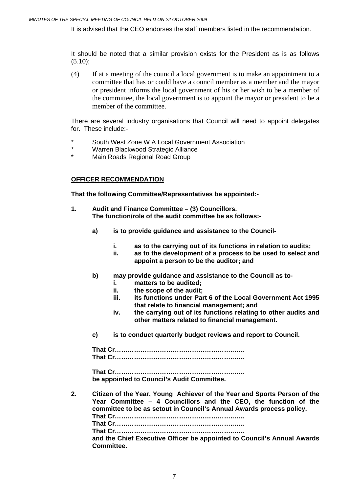It is advised that the CEO endorses the staff members listed in the recommendation.

It should be noted that a similar provision exists for the President as is as follows (5.10);

 (4) If at a meeting of the council a local government is to make an appointment to a committee that has or could have a council member as a member and the mayor or president informs the local government of his or her wish to be a member of the committee, the local government is to appoint the mayor or president to be a member of the committee.

There are several industry organisations that Council will need to appoint delegates for. These include:-

- South West Zone W A Local Government Association
- Warren Blackwood Strategic Alliance
- \* Main Roads Regional Road Group

#### **OFFICER RECOMMENDATION**

**That the following Committee/Representatives be appointed:-** 

- **1. Audit and Finance Committee (3) Councillors. The function/role of the audit committee be as follows:** 
	- **a) is to provide guidance and assistance to the Council**
		- **i. as to the carrying out of its functions in relation to audits;**
		- **ii. as to the development of a process to be used to select and appoint a person to be the auditor; and**
	- **b) may provide guidance and assistance to the Council as to**
		- **i. matters to be audited;** 
			- **ii. the scope of the audit;**
			- **iii. its functions under Part 6 of the Local Government Act 1995 that relate to financial management; and**
			- **iv. the carrying out of its functions relating to other audits and other matters related to financial management.**
	- **c) is to conduct quarterly budget reviews and report to Council.**

 **That Cr………………………………………………..….. That Cr………………………………………………..…..** 

 **That Cr………………………………………………..….. be appointed to Council's Audit Committee.** 

**2. Citizen of the Year, Young Achiever of the Year and Sports Person of the Year Committee – 4 Councillors and the CEO, the function of the committee to be as setout in Council's Annual Awards process policy. That Cr………………………………………………..….. That Cr………………………………………………..….. That Cr………………………………………………..….. and the Chief Executive Officer be appointed to Council's Annual Awards Committee.**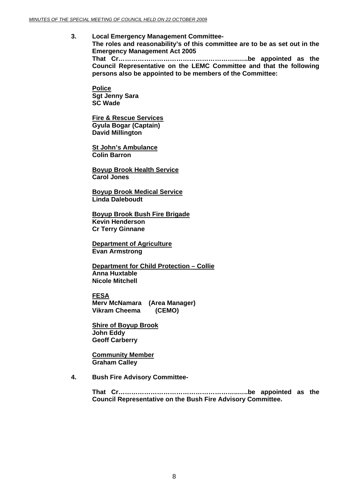#### **3. Local Emergency Management Committee-The roles and reasonability's of this committee are to be as set out in the Emergency Management Act 2005 That Cr………………………………………………..…..be appointed as the Council Representative on the LEMC Committee and that the following persons also be appointed to be members of the Committee:**

**Police Sgt Jenny Sara SC Wade** 

**Fire & Rescue Services Gyula Bogar (Captain) David Millington** 

**St John's Ambulance Colin Barron** 

**Boyup Brook Health Service Carol Jones** 

**Boyup Brook Medical Service Linda Daleboudt** 

**Boyup Brook Bush Fire Brigade Kevin Henderson Cr Terry Ginnane** 

**Department of Agriculture Evan Armstrong** 

**Department for Child Protection – Collie Anna Huxtable Nicole Mitchell** 

**FESA Merv McNamara (Area Manager) Vikram Cheema (CEMO)** 

**Shire of Boyup Brook John Eddy Geoff Carberry** 

**Community Member Graham Calley** 

**4. Bush Fire Advisory Committee-**

**That Cr………………………………………………..…..be appointed as the Council Representative on the Bush Fire Advisory Committee.**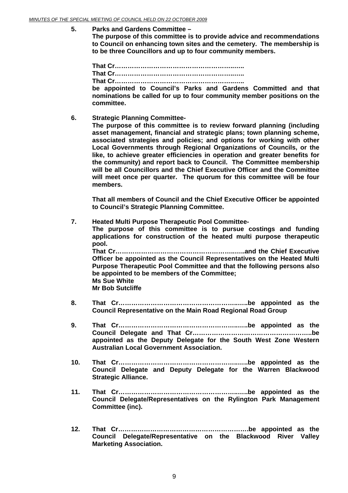**5. Parks and Gardens Committee –** 

**The purpose of this committee is to provide advice and recommendations to Council on enhancing town sites and the cemetery. The membership is to be three Councillors and up to four community members.** 

 **That Cr………………………………………………..….. That Cr………………………………………………..….. That Cr………………………………………………..….. be appointed to Council's Parks and Gardens Committed and that nominations be called for up to four community member positions on the committee.** 

**6. Strategic Planning Committee-The purpose of this committee is to review forward planning (including asset management, financial and strategic plans; town planning scheme, associated strategies and policies; and options for working with other Local Governments through Regional Organizations of Councils, or the like, to achieve greater efficiencies in operation and greater benefits for the community) and report back to Council. The Committee membership will be all Councillors and the Chief Executive Officer and the Committee will meet once per quarter. The quorum for this committee will be four members.** 

**That all members of Council and the Chief Executive Officer be appointed to Council's Strategic Planning Committee.** 

**7. Heated Multi Purpose Therapeutic Pool Committee-**

**The purpose of this committee is to pursue costings and funding applications for construction of the heated multi purpose therapeutic pool.** 

**That Cr………………………………………………..…..and the Chief Executive Officer be appointed as the Council Representatives on the Heated Multi Purpose Therapeutic Pool Committee and that the following persons also be appointed to be members of the Committee; Ms Sue White Mr Bob Sutcliffe** 

- **8. That Cr………………………………………………..…..be appointed as the Council Representative on the Main Road Regional Road Group**
- **9. That Cr………………………………………………..…..be appointed as the Council Delegate and That Cr………………………………………………..be appointed as the Deputy Delegate for the South West Zone Western Australian Local Government Association.**
- **10. That Cr………………………………………………..…..be appointed as the Council Delegate and Deputy Delegate for the Warren Blackwood Strategic Alliance.**
- **11. That Cr………………………………………………..…..be appointed as the Council Delegate/Representatives on the Rylington Park Management Committee (inc).**
- **12. That Cr…………………………………………………….be appointed as the Council Delegate/Representative on the Blackwood River Valley Marketing Association.**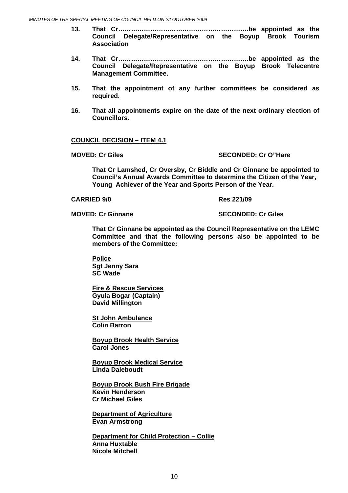- **13. That Cr…………………………………………………….be appointed as the Council Delegate/Representative on the Boyup Brook Tourism Association**
- **14. That Cr…………………………………………………….be appointed as the Council Delegate/Representative on the Boyup Brook Telecentre Management Committee.**
- **15. That the appointment of any further committees be considered as required.**
- **16. That all appointments expire on the date of the next ordinary election of Councillors.**

#### **COUNCIL DECISION – ITEM 4.1**

#### **MOVED: Cr Giles SECONDED: Cr O"Hare**

**That Cr Lamshed, Cr Oversby, Cr Biddle and Cr Ginnane be appointed to Council's Annual Awards Committee to determine the Citizen of the Year, Young Achiever of the Year and Sports Person of the Year.** 

#### **CARRIED 9/0 Res 221/09**

**MOVED: Cr Ginnane SECONDED: Cr Giles** 

**That Cr Ginnane be appointed as the Council Representative on the LEMC Committee and that the following persons also be appointed to be members of the Committee:** 

**Police Sgt Jenny Sara SC Wade** 

**Fire & Rescue Services Gyula Bogar (Captain) David Millington** 

**St John Ambulance Colin Barron** 

**Boyup Brook Health Service Carol Jones** 

**Boyup Brook Medical Service Linda Daleboudt** 

**Boyup Brook Bush Fire Brigade Kevin Henderson Cr Michael Giles** 

**Department of Agriculture Evan Armstrong** 

**Department for Child Protection – Collie Anna Huxtable Nicole Mitchell**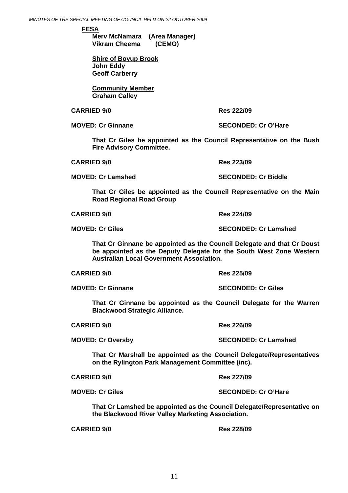**FESA**

**Merv McNamara (Area Manager) Vikram Cheema (CEMO)** 

**Shire of Boyup Brook John Eddy Geoff Carberry** 

**Community Member Graham Calley** 

#### **CARRIED 9/0 Res 222/09**

**MOVED: Cr Ginnane SECONDED: Cr O'Hare** 

**That Cr Giles be appointed as the Council Representative on the Bush Fire Advisory Committee.** 

**CARRIED 9/0 Res 223/09** 

**MOVED: Cr Lamshed SECONDED: Cr Biddle** 

**That Cr Giles be appointed as the Council Representative on the Main Road Regional Road Group** 

| <b>CARRIED 9/0</b> | <b>Res 224/09</b> |
|--------------------|-------------------|
|--------------------|-------------------|

**MOVED: Cr Giles SECONDED: Cr Lamshed** 

**That Cr Ginnane be appointed as the Council Delegate and that Cr Doust be appointed as the Deputy Delegate for the South West Zone Western Australian Local Government Association.** 

| <b>CARRIED 9/0</b> |  |
|--------------------|--|
|--------------------|--|

**CARRIED 9/0 Res 225/09** 

**MOVED: Cr Ginnane SECONDED: Cr Giles** 

**That Cr Ginnane be appointed as the Council Delegate for the Warren Blackwood Strategic Alliance.** 

**CARRIED 9/0 Res 226/09** 

**MOVED: Cr Oversby SECONDED: Cr Lamshed** 

**That Cr Marshall be appointed as the Council Delegate/Representatives on the Rylington Park Management Committee (inc).** 

| <b>CARRIED 9/0</b> | <b>Res 227/09</b> |  |
|--------------------|-------------------|--|
|                    |                   |  |

**MOVED: Cr Giles SECONDED: Cr O'Hare** 

**That Cr Lamshed be appointed as the Council Delegate/Representative on the Blackwood River Valley Marketing Association.** 

**CARRIED 9/0 Res 228/09**